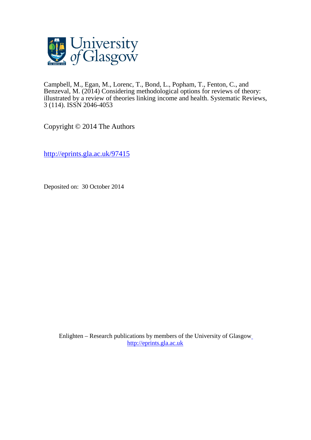

Campbell, M., Egan, M., Lorenc, T., Bond, L., Popham, T., Fenton, C., and Benzeval, M. (2014) Considering methodological options for reviews of theory: illustrated by a review of theories linking income and health. Systematic Reviews, 3 (114). ISSN 2046-4053

Copyright © 2014 The Authors

<http://eprints.gla.ac.uk/97415>

Deposited on: 30 October 2014

Enlighten – Research publications by members of the University of Glasgo[w](http://eprints.gla.ac.uk/) [http://eprints.gla.ac.uk](http://eprints.gla.ac.uk/)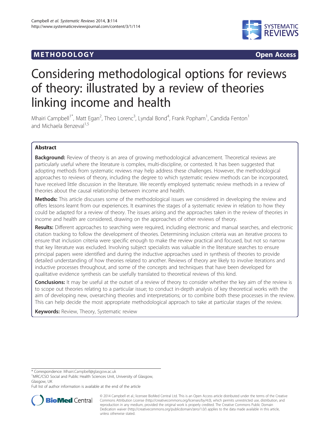# **METHODOLOGY CONSUMING ACCESS**



# Considering methodological options for reviews of theory: illustrated by a review of theories linking income and health

Mhairi Campbell<sup>1\*</sup>, Matt Egan<sup>2</sup>, Theo Lorenc<sup>3</sup>, Lyndal Bond<sup>4</sup>, Frank Popham<sup>1</sup>, Candida Fenton<sup>1</sup> and Michaela Benzeval<sup>1,5</sup>

# Abstract

**Background:** Review of theory is an area of growing methodological advancement. Theoretical reviews are particularly useful where the literature is complex, multi-discipline, or contested. It has been suggested that adopting methods from systematic reviews may help address these challenges. However, the methodological approaches to reviews of theory, including the degree to which systematic review methods can be incorporated, have received little discussion in the literature. We recently employed systematic review methods in a review of theories about the causal relationship between income and health.

Methods: This article discusses some of the methodological issues we considered in developing the review and offers lessons learnt from our experiences. It examines the stages of a systematic review in relation to how they could be adapted for a review of theory. The issues arising and the approaches taken in the review of theories in income and health are considered, drawing on the approaches of other reviews of theory.

Results: Different approaches to searching were required, including electronic and manual searches, and electronic citation tracking to follow the development of theories. Determining inclusion criteria was an iterative process to ensure that inclusion criteria were specific enough to make the review practical and focused, but not so narrow that key literature was excluded. Involving subject specialists was valuable in the literature searches to ensure principal papers were identified and during the inductive approaches used in synthesis of theories to provide detailed understanding of how theories related to another. Reviews of theory are likely to involve iterations and inductive processes throughout, and some of the concepts and techniques that have been developed for qualitative evidence synthesis can be usefully translated to theoretical reviews of this kind.

**Conclusions:** It may be useful at the outset of a review of theory to consider whether the key aim of the review is to scope out theories relating to a particular issue; to conduct in-depth analysis of key theoretical works with the aim of developing new, overarching theories and interpretations; or to combine both these processes in the review. This can help decide the most appropriate methodological approach to take at particular stages of the review.

Keywords: Review, Theory, Systematic review

Full list of author information is available at the end of the article



<sup>© 2014</sup> Campbell et al.; licensee BioMed Central Ltd. This is an Open Access article distributed under the terms of the Creative Commons Attribution License [\(http://creativecommons.org/licenses/by/4.0\)](http://creativecommons.org/licenses/by/4.0), which permits unrestricted use, distribution, and reproduction in any medium, provided the original work is properly credited. The Creative Commons Public Domain Dedication waiver [\(http://creativecommons.org/publicdomain/zero/1.0/](http://creativecommons.org/publicdomain/zero/1.0/)) applies to the data made available in this article, unless otherwise stated.

<sup>\*</sup> Correspondence: [Mhairi.Campbell@glasgow.ac.uk](mailto:Mhairi.Campbell@glasgow.ac.uk) <sup>1</sup>

<sup>&</sup>lt;sup>1</sup>MRC/CSO Social and Public Health Sciences Unit, University of Glasgow, Glasgow, UK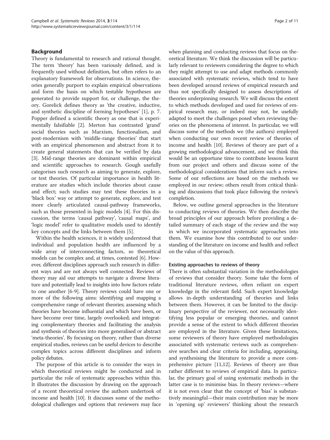#### Background

Theory is fundamental to research and rational thought. The term 'theory' has been variously defined, and is frequently used without definition, but often refers to an explanatory framework for observations. In science, theories generally purport to explain empirical observations and form the basis on which testable hypotheses are generated to provide support for, or challenge, the theory. Gorelick defines theory as 'the creative, inductive, and synthetic discipline of forming hypotheses' [[1\]](#page-10-0), p. 7. Popper defined a scientific theory as one that is experimentally falsifiable [\[2\]](#page-10-0). Merton has contrasted 'grand' social theories such as Marxism, functionalism, and post-modernism with 'middle-range theories' that start with an empirical phenomenon and abstract from it to create general statements that can be verified by data [[3\]](#page-10-0). Mid-range theories are dominant within empirical and scientific approaches to research. Gough usefully categorises such research as aiming to generate, explore, or test theories. Of particular importance in health literature are studies which include theories about cause and effect; such studies may test these theories in a 'black box' way or attempt to generate, explore, and test more clearly articulated causal-pathway frameworks, such as those presented in logic models [[4\]](#page-10-0). For this discussion, the terms 'causal pathway', 'causal maps', and 'logic model' refer to qualitative models used to identify key concepts and the links between them [\[5](#page-10-0)].

Within the health sciences, it is widely understood that individual and population health are influenced by a wide array of interconnecting factors, so theoretical models can be complex and, at times, contested [[6\]](#page-10-0). However, different disciplines approach such research in different ways and are not always well connected. Reviews of theory may aid our attempts to navigate a diverse literature and potentially lead to insights into how factors relate to one another [[6-9\]](#page-10-0). Theory reviews could have one or more of the following aims: identifying and mapping a comprehensive range of relevant theories; assessing which theories have become influential and which have been, or have become over time, largely overlooked; and integrating complementary theories and facilitating the analysis and synthesis of theories into more generalised or abstract 'meta-theories'. By focusing on theory, rather than diverse empirical studies, reviews can be useful devices to describe complex topics across different disciplines and inform policy debates.

The purpose of this article is to consider the ways in which theoretical reviews might be conducted and in particular the role of systematic approaches within this. It illustrates the discussion by drawing on the approach of a recent theoretical review the authors undertook of income and health [\[10\]](#page-10-0). It discusses some of the methodological challenges and options that reviewers may face when planning and conducting reviews that focus on theoretical literature. We think the discussion will be particularly relevant to reviewers considering the degree to which they might attempt to use and adapt methods commonly associated with systematic reviews, which tend to have been developed around reviews of empirical research and thus not specifically designed to assess descriptions of theories underpinning research. We will discuss the extent to which methods developed and used for reviews of empirical research may, or indeed may not, be usefully adapted to meet the challenges posed when reviewing theories on the phenomena of interest. In particular, we will discuss some of the methods we (the authors) employed when conducting our own recent review of theories of income and health [\[10\]](#page-10-0). Reviews of theory are part of a growing methodological advancement, and we think this would be an opportune time to contribute lessons learnt from our project and others and discuss some of the methodological considerations that inform such a review. Some of our reflections are based on the methods we employed in our review; others result from critical thinking and discussions that took place following the review's completion.

Below, we outline general approaches in the literature to conducting reviews of theories. We then describe the broad principles of our approach before providing a detailed summary of each stage of the review and the way in which we incorporated systematic approaches into them. We examine how this contributed to our understanding of the literature on income and health and reflect on the value of this approach.

#### Existing approaches to reviews of theory

There is often substantial variation in the methodologies of reviews that consider theory. Some take the form of traditional literature reviews, often reliant on expert knowledge in the relevant field. Such expert knowledge allows in-depth understanding of theories and links between them. However, it can be limited to the disciplinary perspective of the reviewer, not necessarily identifying less popular or emerging theories, and cannot provide a sense of the extent to which different theories are employed in the literature. Given these limitations, some reviewers of theory have employed methodologies associated with systematic reviews such as comprehensive searches and clear criteria for including, appraising, and synthesising the literature to provide a more comprehensive picture [\[11,12\]](#page-10-0). Reviews of theory are thus rather different to reviews of empirical data. In particular, the primary goal of using systematic methods in the latter case is to minimise bias. In theory reviews—where it is not even clear that the concept of 'bias' is substantively meaningful—their main contribution may be more in 'opening up' reviewers' thinking about the research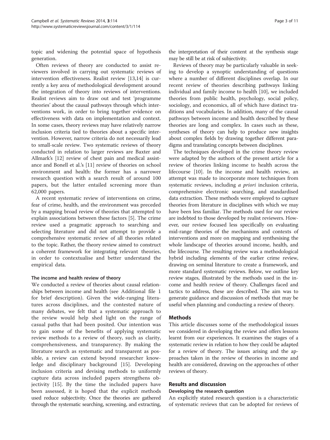topic and widening the potential space of hypothesis generation.

Often reviews of theory are conducted to assist reviewers involved in carrying out systematic reviews of intervention effectiveness. Realist review [[13,14\]](#page-10-0) is currently a key area of methodological development around the integration of theory into reviews of interventions. Realist reviews aim to draw out and test 'programme theories' about the causal pathways through which interventions work, in order to bring together evidence on effectiveness with data on implementation and context. In some cases, theory reviews may have relatively narrow inclusion criteria tied to theories about a specific intervention. However, narrow criteria do not necessarily lead to small-scale review. Two systematic reviews of theory conducted in relation to larger reviews are Baxter and Allmark's [[12](#page-10-0)] review of chest pain and medical assistance and Bonell et al.'s [\[11](#page-10-0)] review of theories on school environment and health: the former has a narrower research question with a search result of around 100 papers, but the latter entailed screening more than 62,000 papers.

A recent systematic review of interventions on crime, fear of crime, health, and the environment was preceded by a mapping broad review of theories that attempted to explain associations between these factors [[5\]](#page-10-0). The crime review used a pragmatic approach to searching and selecting literature and did not attempt to provide a comprehensive systematic review of all theories related to the topic. Rather, the theory review aimed to construct a coherent framework for integrating relevant theories, in order to contextualise and better understand the empirical data.

#### The income and health review of theory

We conducted a review of theories about causal relationships between income and health (see Additional file [1](#page-10-0) for brief description). Given the wide-ranging literatures across disciplines, and the contested nature of many debates, we felt that a systematic approach to the review would help shed light on the range of casual paths that had been posited. Our intention was to gain some of the benefits of applying systematic review methods to a review of theory, such as clarity, comprehensiveness, and transparency. By making the literature search as systematic and transparent as possible, a review can extend beyond researcher knowledge and disciplinary background [\[15](#page-10-0)]. Developing inclusion criteria and devising methods to uniformly capture data across included papers strengthens objectivity [\[15](#page-10-0)]. By the time the included papers have been assessed, it is hoped that the explicit methods used reduce subjectivity. Once the theories are gathered through the systematic searching, screening, and extracting, the interpretation of their content at the synthesis stage may be still be at risk of subjectivity.

Reviews of theory may be particularly valuable in seeking to develop a synoptic understanding of questions where a number of different disciplines overlap. In our recent review of theories describing pathways linking individual and family income to health [[10\]](#page-10-0), we included theories from public health, psychology, social policy, sociology, and economics, all of which have distinct traditions and vocabularies. In addition, many of the causal pathways between income and health described by these theories are long and complex. In cases such as these, syntheses of theory can help to produce new insights about complex fields by drawing together different paradigms and translating concepts between disciplines.

The techniques developed in the crime theory review were adapted by the authors of the present article for a review of theories linking income to health across the lifecourse [[10\]](#page-10-0). In the income and health review, an attempt was made to incorporate more techniques from systematic reviews, including *a priori* inclusion criteria, comprehensive electronic searching, and standardised data extraction. These methods were employed to capture theories from literature in disciplines with which we may have been less familiar. The methods used for our review are indebted to those developed by realist reviewers. However, our review focused less specifically on evaluating mid-range theories of the mechanisms and contexts of interventions and more on mapping and synthesising the whole landscape of theories around income, health, and the lifecourse. The resulting review was a methodological hybrid including elements of the earlier crime review, drawing on seminal literature to create a framework, and more standard systematic reviews. Below, we outline key review stages, illustrated by the methods used in the income and health review of theory. Challenges faced and tactics to address, these are described. The aim was to generate guidance and discussion of methods that may be useful when planning and conducting a review of theory.

# Methods

This article discusses some of the methodological issues we considered in developing the review and offers lessons learnt from our experiences. It examines the stages of a systematic review in relation to how they could be adapted for a review of theory. The issues arising and the approaches taken in the review of theories in income and health are considered, drawing on the approaches of other reviews of theory.

#### Results and discussion

#### Developing the research question

An explicitly stated research question is a characteristic of systematic reviews that can be adopted for reviews of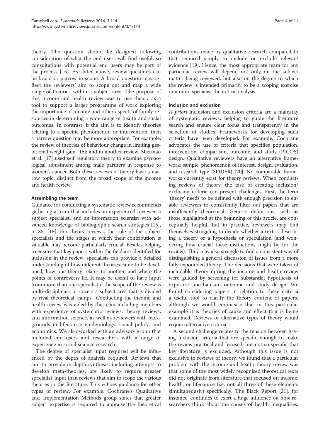theory. The question should be designed following consideration of what the end users will find useful, so consultations with potential end users may be part of the process [\[15\]](#page-10-0). As stated above, review questions can be broad or narrow in scope. A broad question may reflect the reviewers' aim to scope out and map a wide range of theories within a subject area. The purpose of this income and health review was to use theory as a tool to support a larger programme of work exploring the importance of income and other aspects of family resources in determining a wide range of health and social outcomes. In contrast, if the aim is to identify theories relating to a specific phenomenon or intervention, then a narrow question may be more appropriate. For example, the review of theories of behaviour change in limiting gestational weight gain [[16](#page-10-0)]; and in another review, Sherman et al. [\[17\]](#page-10-0) used self regulatory theory to examine psychological adjustment among male partners in response to women's cancer. Both these reviews of theory have a narrow topic, distinct from the broad scope of the income and health review.

# Assembling the team

Guidance for conducting a systematic review recommends gathering a team that includes an experienced reviewer, a subject specialist, and an information scientist with advanced knowledge of bibliographic search strategies [[15](#page-10-0)], p. 85; [[18](#page-10-0)]. For theory reviews, the role of the subject specialists and the stages at which their contribution is valuable may become particularly crucial. Besides helping to ensure that key papers within the field are identified for inclusion in the review, specialists can provide a detailed understanding of how different theories came to be developed, how one theory relates to another, and where the points of controversy lie. It may be useful to have input from more than one specialist if the scope of the review is multi-disciplinary or covers a subject area that is divided by rival theoretical 'camps'. Conducting the income and health review was aided by the team including members with experience of systematic reviews, theory reviews, and information science, as well as reviewers with backgrounds in lifecourse epidemiology, social policy, and economics. We also worked with an advisory group that included end users and researchers with a range of experience in social science research.

The degree of specialist input required will be influenced by the depth of analysis required. Reviews that aim to provide in-depth synthesis, including attempts to develop meta-theories, are likely to require greater specialist input than reviews that aim to scope the various theories in the literature. This echoes guidance for other types of review. For example, Cochrane's Qualitative and Implementation Methods group states that greater subject expertise is required to appraise the theoretical contributions made by qualitative research compared to that required simply to include or exclude relevant evidence [\[19\]](#page-10-0). Hence, the most appropriate team for any particular review will depend not only on the subject matter being reviewed, but also on the degree to which the review is intended primarily to be a scoping exercise or a more specialist theoretical analysis.

# Inclusion and exclusion

A priori inclusion and exclusion criteria are a mainstay of systematic reviews, helping to guide the literature search and ensure clear focus and transparency in the selection of studies. Frameworks for developing such criteria have been developed. For example, Cochrane advocates the use of criteria that specifies population, intervention, comparison, outcome, and study (PICOS) design. Qualitative reviewers have an alternative framework: sample, phenomenon of interest, design, evaluation, and research type (SPIDER) [[20](#page-10-0)]. No comparable frameworks currently exist for theory reviews. When conducting reviews of theory, the task of creating inclusion/ exclusion criteria can present challenges. First, the term 'theory' needs to be defined with enough precision to enable reviewers to consistently filter out papers that are insufficiently theoretical. Generic definitions, such as those highlighted at the beginning of this article, are conceptually helpful, but in practice, reviewers may find themselves struggling to decide whether a text is describing a theory or a hypothesis or speculation (and wondering how crucial these distinctions might be for the review). They may also struggle to find a consistent way of distinguishing a general discussion of issues from a more fully expounded theory. The decisions that were taken of includable theory during the income and health review were guided by screening for substantial hypothesis of exposure—mechanism—outcome and study design. We found considering papers in relation to these criteria a useful tool to clarify the theory content of papers, although we would emphasise that in this particular example it is theories of cause and effect that is being examined. Reviews of alternative types of theory would require alternative criteria.

A second challenge relates to the tension between having inclusion criteria that are specific enough to make the review practical and focused, but not so specific that key literature is excluded. Although this issue is not exclusive to reviews of theory, we found that a particular problem with the income and health theory review was that some of the most widely recognised theoretical texts did not originate from literature that focused on income, health, or lifecourse (i.e. not all three of these elements simultaneously) specifically. The Black Report [\[21\]](#page-10-0), for instance, continues to exert a huge influence on how researchers think about the causes of health inequalities,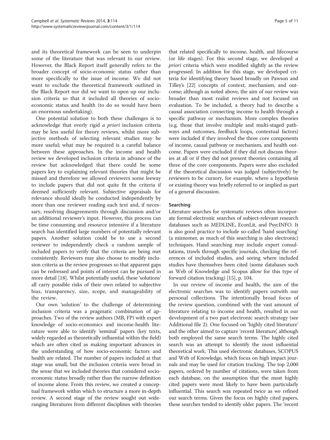and its theoretical framework can be seen to underpin some of the literature that was relevant to our review. However, the Black Report itself generally refers to the broader concept of socio-economic status rather than more specifically to the issue of income. We did not want to exclude the theoretical framework outlined in the Black Report nor did we want to open up our inclusion criteria so that it included all theories of socioeconomic status and health (to do so would have been an enormous undertaking).

One potential solution to both these challenges is to acknowledge that overly rigid a priori inclusion criteria may be less useful for theory reviews, whilst more subjective methods of selecting relevant studies may be more useful; what may be required is a careful balance between these approaches. In the income and health review we developed inclusion criteria in advance of the review but acknowledged that there could be some papers key to explaining relevant theories that might be missed and therefore we allowed reviewers some leeway to include papers that did not quite fit the criteria if deemed sufficiently relevant. Subjective appraisals for relevance should ideally be conducted independently by more than one reviewer reading each text and, if necessary, resolving disagreements through discussion and/or an additional reviewer's input. However, this process can be time consuming and resource intensive if a literature search has identified large numbers of potentially relevant papers. Another solution could be to use a second reviewer to independently check a random sample of included papers to verify that the criteria are being met consistently. Reviewers may also choose to modify inclusion criteria as the review progresses so that apparent gaps can be redressed and points of interest can be pursued in more detail [[18\]](#page-10-0). Whilst potentially useful, these 'solutions' all carry possible risks of their own related to subjective bias, transparency, size, scope, and manageability of the review.

Our own 'solution' to the challenge of determining inclusion criteria was a pragmatic combination of approaches. Two of the review authors (MB, FP) with expert knowledge of socio-economics and income-health literature were able to identify 'seminal' papers (key texts, widely regarded as theoretically influential within the field) which are often cited as making important advances in the understanding of how socio-economic factors and health are related. The number of papers included at that stage was small, but the inclusion criteria were broad in the sense that we included theories that considered socioeconomic status broadly rather than the narrow definition of income alone. From this review, we created a conceptual framework within which to structure a more in-depth review. A second stage of the review sought out wideranging literatures from different disciplines with theories

that related specifically to income, health, and lifecourse (or life stages). For this second stage, we developed  $a$ priori criteria which were modified slightly as the review progressed. In addition for this stage, we developed criteria for identifying theory based broadly on Pawson and Tilley's [\[22](#page-10-0)] concepts of context, mechanism, and outcome; although as noted above, the aim of our review was broader than most realist reviews and not focused on evaluation. To be included, a theory had to describe a causal association connecting income to health through a specific pathway or mechanism. More complex theories (e.g. those that involve multiple and multi-staged pathways and outcomes, feedback loops, contextual factors) were included if they involved the three core components of income, causal pathway or mechanism, and health outcome. Papers were excluded if they did not discuss theories at all or if they did not present theories containing all three of the core components. Papers were also excluded if the theoretical discussion was judged (subjectively) by reviewers to be cursory, for example, where a hypothesis or existing theory was briefly referred to or implied as part of a general discussion.

#### Searching

Literature searches for systematic reviews often incorporate formal electronic searches of subject-relevant research databases such as MEDLINE, EconLit, and PsycINFO. It is also good practice to include so-called 'hand searching' (a misnomer, as much of this searching is also electronic) techniques. Hand searching may include expert consultations, trawls through specific journals, checking the references of included studies, and seeing where included studies have themselves been cited (some databases such as Web of Knowledge and Scopus allow for this type of forward citation tracking) [[15](#page-10-0)], p. 104.

In our review of income and health, the aim of the electronic searches was to identify papers outwith our personal collections. The intentionally broad focus of the review question, combined with the vast amount of literature relating to income and health, resulted in our development of a two part electronic search strategy (see Additional file [2\)](#page-10-0). One focused on 'highly cited literature' and the other aimed to capture 'recent literature', although both employed the same search terms. The highly cited search was an attempt to identify the most influential theoretical work. This used electronic databases, SCOPUS and Web of Knowledge, which focus on high impact journals and may be used for citation tracking. The top 2,000 papers, ordered by number of citations, were taken from each database, on the assumption that the most highly cited papers were most likely to have been particularly influential. This search was repeated twice as we refined our search terms. Given the focus on highly cited papers, these searches tended to identify older papers. The 'recent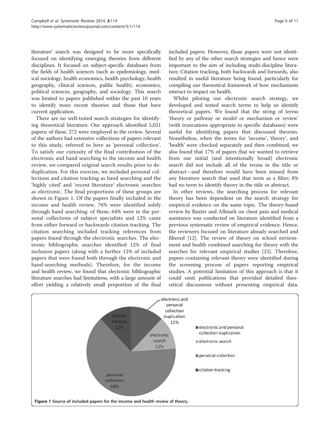literature' search was designed to be more specifically focused on identifying emerging theories from different disciplines. It focused on subject-specific databases from the fields of health sciences (such as epidemiology, medical sociology, health economics, health psychology, health geography, clinical sciences, public health), economics, political sciences, geography, and sociology. This search was limited to papers published within the past 10 years to identify more recent theories and those that have current application.

There are no well-tested search strategies for identifying theoretical literature. Our approach identified 5,021 papers; of these, 272 were employed in the review. Several of the authors had extensive collections of papers relevant to this study, referred to here as 'personal collection'. To satisfy our curiosity of the final contribution of the electronic and hand searching to the income and health review, we compared original search results prior to deduplication. For this exercise, we included personal collections and citation tracking as hand searching and the 'highly cited' and 'recent literature' electronic searches as electronic. The final proportions of these groups are shown in Figure 1. Of the papers finally included in the income and health review, 76% were identified solely through hand searching: of these, 64% were in the personal collections of subject specialists and 12% came from either forward or backwards citation tracking. The citation searching included tracking references from papers found through the electronic searches. The electronic bibliographic searches identified 12% of final inclusion papers (along with a further 12% of included papers that were found both through the electronic and hand-searching methods). Therefore, for the income and health review, we found that electronic bibliographic literature searches had limitations, with a large amount of effort yielding a relatively small proportion of the final fied by any of the other search strategies and hence were important to the aim of including multi-discipline literature. Citation tracking, both backwards and forwards, also resulted in useful literature being found, particularly for compiling our theoretical framework of how mechanisms interact to impact on health.

Whilst piloting our electronic search strategy, we developed and tested search terms to help us identify theoretical papers. We found that the string of terms 'theory or pathway or model or mechanism or review' (with truncations appropriate to specific databases) were useful for identifying papers that discussed theories. Nonetheless, when the terms for 'income', 'theory', and 'health' were checked separately and then combined, we also found that 17% of papers that we wanted to retrieve from our initial (and intentionally broad) electronic search did not include all of the terms in the title or abstract—and therefore would have been missed from any literature search that used that term as a filter; 8% had no term to identify theory in the title or abstract.

In other reviews, the searching process for relevant theory has been dependent on the search strategy for empirical evidence on the same topic. The theory-based review by Baxter and Allmark on chest pain and medical assistance was conducted on literature identified from a previous systematic review of empirical evidence. Hence, the reviewers focused on literature already searched and filtered [[12](#page-10-0)]. The review of theory on school environment and health combined searching for theory with the searches for relevant empirical studies [\[23](#page-10-0)]. Therefore, papers containing relevant theory were identified during the screening process of papers reporting empirical studies. A potential limitation of this approach is that it could omit publications that provided detailed theoretical discussions without presenting empirical data.

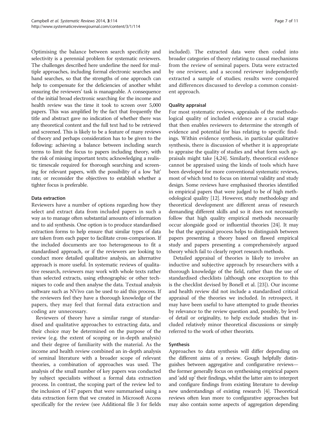Optimising the balance between search specificity and selectivity is a perennial problem for systematic reviewers. The challenges described here underline the need for multiple approaches, including formal electronic searches and hand searches, so that the strengths of one approach can help to compensate for the deficiencies of another whilst ensuring the reviewers' task is manageable. A consequence of the initial broad electronic searching for the income and health review was the time it took to screen over 5,000 papers. This was amplified by the fact that frequently the title and abstract gave no indication of whether there was any theoretical content and the full text had to be retrieved and screened. This is likely to be a feature of many reviews of theory and perhaps consideration has to be given to the following: achieving a balance between including search terms to limit the focus to papers including theory, with the risk of missing important texts; acknowledging a realistic timescale required for thorough searching and screening for relevant papers, with the possibility of a low 'hit' rate; or reconsider the objectives to establish whether a tighter focus is preferable.

# Data extraction

Reviewers have a number of options regarding how they select and extract data from included papers in such a way as to manage often substantial amounts of information and to aid synthesis. One option is to produce standardised extraction forms to help ensure that similar types of data are taken from each paper to facilitate cross-comparison. If the included documents are too heterogeneous to fit a standardised approach, or if the reviewers are looking to conduct more detailed qualitative analysis, an alternative approach is more useful. In systematic reviews of qualitative research, reviewers may work with whole texts rather than selected extracts, using ethnographic or other techniques to code and then analyse the data. Textual analysis software such as NVivo can be used to aid this process. If the reviewers feel they have a thorough knowledge of the papers, they may feel that formal data extraction and coding are unnecessary.

Reviewers of theory have a similar range of standardised and qualitative approaches to extracting data, and their choice may be determined on the purpose of the review (e.g. the extent of scoping or in-depth analysis) and their degree of familiarity with the material. As the income and health review combined an in-depth analysis of seminal literature with a broader scope of relevant theories, a combination of approaches was used. The analysis of the small number of key papers was conducted by subject specialists without a formal data extraction process. In contrast, the scoping part of the review led to the inclusion of 147 papers that were summarised using a data extraction form that we created in Microsoft Access specifically for the review (see Additional file [3](#page-10-0) for fields included). The extracted data were then coded into broader categories of theory relating to causal mechanisms from the review of seminal papers. Data were extracted by one reviewer, and a second reviewer independently extracted a sample of studies; results were compared and differences discussed to develop a common consistent approach.

#### Quality appraisal

For most systematic reviews, appraisals of the methodological quality of included evidence are a crucial stage that then enables reviewers to determine the strength of evidence and potential for bias relating to specific findings. Within evidence synthesis, in particular qualitative synthesis, there is discussion of whether it is appropriate to appraise the quality of studies and what form such appraisals might take [\[4](#page-10-0),[24](#page-10-0)]. Similarly, theoretical evidence cannot be appraised using the kinds of tools which have been developed for more conventional systematic reviews, most of which tend to focus on internal validity and study design. Some reviews have emphasised theories identified in empirical papers that were judged to be of high methodological quality [\[12\]](#page-10-0). However, study methodology and theoretical development are different areas of research demanding different skills and so it does not necessarily follow that high quality empirical methods necessarily occur alongside good or influential theories [[24](#page-10-0)]. It may be that the appraisal process helps to distinguish between papers presenting a theory based on flawed empirical study and papers presenting a comprehensively argued theory which fail to clearly report research methods.

Detailed appraisal of theories is likely to involve an inductive and subjective approach by researchers with a thorough knowledge of the field, rather than the use of standardised checklists (although one exception to this is the checklist devised by Bonell et al. [[23\]](#page-10-0)). Our income and health review did not include a standardised critical appraisal of the theories we included. In retrospect, it may have been useful to have attempted to grade theories by relevance to the review question and, possibly, by level of detail or originality, to help exclude studies that included relatively minor theoretical discussions or simply referred to the work of other theorists.

# Synthesis

Approaches to data synthesis will differ depending on the different aims of a review. Gough helpfully distinguishes between aggregative and configurative reviews the former generally focus on synthesising empirical papers and 'add up' their findings, whilst the latter aim to interpret and configure findings from existing literature to develop new understandings of existing research [\[4\]](#page-10-0). Theoretical reviews often lean more to configurative approaches but may also contain some aspects of aggregation depending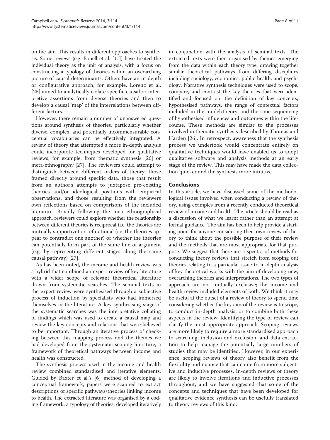on the aim. This results in different approaches to synthesis. Some reviews (e.g. Bonell et al. [[11](#page-10-0)]) have treated the individual theory as the unit of analysis, with a focus on constructing a typology of theories within an overarching picture of causal determinants. Others have an in-depth or configurative approach, for example, Lorenc et al. [[25\]](#page-10-0) aimed to analytically isolate specific causal or interpretive assertions from diverse theories and then to develop a causal 'map' of the interrelations between different factors.

However, there remain a number of unanswered questions around synthesis of theories, particularly whether diverse, complex, and potentially incommensurable conceptual vocabularies can be effectively integrated. A review of theory that attempted a more in-depth analysis could incorporate techniques developed for qualitative reviews, for example, from thematic synthesis [[26](#page-10-0)] or meta-ethnography [\[27](#page-10-0)]. The reviewers could attempt to distinguish between different orders of theory: those framed directly around specific data, those that result from an author's attempts to juxtapose pre-existing theories and/or ideological positions with empirical observations, and those resulting from the reviewers own reflections based on comparisons of the included literature. Broadly following the meta-ethnographical approach, reviewers could explore whether the relationship between different theories is reciprocal (i.e. the theories are mutually supportive) or refutational (i.e. the theories appear to contradict one another) or whether the theories can potentially form part of the same line of argument (e.g. by representing different stages along the same causal pathway) [\[27](#page-10-0)].

As has been noted, the income and health review was a hybrid that combined an expert review of key literature with a wider scope of relevant theoretical literature drawn from systematic searches. The seminal texts in the expert review were synthesised through a subjective process of induction by specialists who had immersed themselves in the literature. A key synthesising stage of the systematic searches was the interpretative collating of findings which was used to create a causal map and review the key concepts and relations that were believed to be important. Through an iterative process of checking between this mapping process and the themes we had developed from the systematic scoping literature, a framework of theoretical pathways between income and health was constructed.

The synthesis process used in the income and health review combined standardised and iterative elements. Guided by Baxter et al.'s [[6\]](#page-10-0) method of developing a conceptual framework, papers were scanned to extract descriptions of specific pathways/theories linking income to health. The extracted literature was organised by a coding framework: a typology of theories, developed iteratively in conjunction with the analysis of seminal texts. The extracted texts were then organised by themes emerging from the data within each theory type, drawing together similar theoretical pathways from differing disciplines including sociology, economics, public health, and psychology. Narrative synthesis techniques were used to scope, compare, and contrast the key theories that were identified and focused on: the definition of key concepts, hypothesised pathways, the range of contextual factors included in the model/theory, and the time sequencing of hypothesised influences and outcomes within the lifecourse. These methods are similar to the processes involved in thematic synthesis described by Thomas and Harden [\[26](#page-10-0)]. In retrospect, awareness that the synthesis process we undertook would concentrate entirely on qualitative techniques would have enabled us to adopt qualitative software and analysis methods at an early stage of the review. This may have made the data collection quicker and the synthesis more intuitive.

# **Conclusions**

In this article, we have discussed some of the methodological issues involved when conducting a review of theory, using examples from a recently conducted theoretical review of income and health. The article should be read as a discussion of what we learnt rather than an attempt at formal guidance. The aim has been to help provide a starting point for anyone considering their own review of theory to think about the possible purpose of their review and the methods that are most appropriate for that purpose. We suggest that there are a spectra of methods for conducting theory reviews that stretch from scoping out theories relating to a particular issue to in-depth analysis of key theoretical works with the aim of developing new, overarching theories and interpretations. The two types of approach are not mutually exclusive; the income and health review included elements of both. We think it may be useful at the outset of a review of theory to spend time considering whether the key aim of the review is to scope, to conduct in-depth analysis, or to combine both these aspects in the review. Identifying the type of review can clarify the most appropriate approach. Scoping reviews are more likely to require a more standardised approach to searching, inclusion and exclusion, and data extraction to help manage the potentially large numbers of studies that may be identified. However, in our experience, scoping reviews of theory also benefit from the flexibility and nuance that can come from more subjective and inductive processes. In-depth reviews of theory are likely to involve iterations and inductive processes throughout, and we have suggested that some of the concepts and techniques that have been developed for qualitative evidence synthesis can be usefully translated to theory reviews of this kind.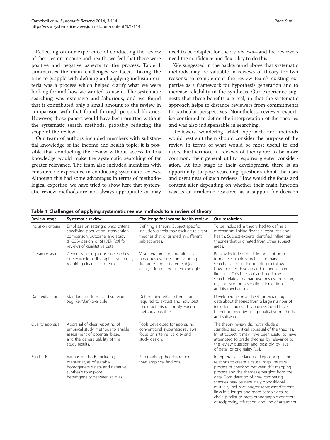Reflecting on our experience of conducting the review of theories on income and health, we feel that there were positive and negative aspects to the process. Table 1 summarises the main challenges we faced. Taking the time to grapple with defining and applying inclusion criteria was a process which helped clarify what we were looking for and how we wanted to use it. The systematic searching was extensive and laborious, and we found that it contributed only a small amount to the review in comparison with that found through personal libraries. However, those papers would have been omitted without the systematic search methods, probably reducing the scope of the review.

Our team of authors included members with substantial knowledge of the income and health topic; it is possible that conducting the review without access to this knowledge would make the systematic searching of far greater relevance. The team also included members with considerable experience in conducting systematic reviews. Although this had some advantages in terms of methodological expertise, we have tried to show here that systematic review methods are not always appropriate or may need to be adapted for theory reviews—and the reviewers need the confidence and flexibility to do this.

We suggested in the background above that systematic methods may be valuable in reviews of theory for two reasons: to complement the review team's existing expertise as a framework for hypothesis generation and to increase reliability in the synthesis. Our experience suggests that these benefits are real, in that the systematic approach helps to distance reviewers from commitments to particular perspectives. Nonetheless, reviewer expertise continued to define the interpretation of the theories and was also indispensable in searching.

Reviewers wondering which approach and methods would best suit them should consider the purpose of the review in terms of what would be most useful to end users. Furthermore, if reviews of theory are to be more common, their general utility requires greater consideration. At this stage in their development, there is an opportunity to pose searching questions about the uses and usefulness of such reviews. How would the focus and content alter depending on whether their main function was as an academic resource, as a support for decision

| Table 1 Challenges of applying systematic review methods to a review of theory |
|--------------------------------------------------------------------------------|
|--------------------------------------------------------------------------------|

| <b>Review stage</b> | <b>Systematic review</b>                                                                                                                                                              | Challenge for income-health review                                                                                                                 | Our resolution                                                                                                                                                                                                                                                                                                                                                                                                                                                              |
|---------------------|---------------------------------------------------------------------------------------------------------------------------------------------------------------------------------------|----------------------------------------------------------------------------------------------------------------------------------------------------|-----------------------------------------------------------------------------------------------------------------------------------------------------------------------------------------------------------------------------------------------------------------------------------------------------------------------------------------------------------------------------------------------------------------------------------------------------------------------------|
| Inclusion criteria  | Emphasis on setting a priori criteria<br>specifying population, intervention,<br>comparison, outcome, and study<br>(PICOS) design; or SPIDER [20] for<br>reviews of qualitative data. | Defining a theory. Subject-specific<br>inclusion criteria may exclude relevant<br>theories that originated in different<br>subject areas.          | To be included, a theory had to define a<br>mechanism linking financial resources and<br>health. Subject experts identified influential<br>theories that originated from other subject<br>areas.                                                                                                                                                                                                                                                                            |
| Literature search   | Generally strong focus on searches<br>of electronic bibliographic databases,<br>requiring clear search terms.                                                                         | Vast literature and intentionally<br>broad review question including<br>literature from different subject<br>areas, using different terminologies. | Review included multiple forms of both<br>formal electronic searches and hand<br>searches and citation tracking to follow<br>how theories develop and influence later<br>literature. This is less of an issue if the<br>search relates to a narrower review question,<br>e.g. focusing on a specific intervention<br>and its mechanism.                                                                                                                                     |
| Data extraction     | Standardised forms and software<br>(e.g. RevMan) available                                                                                                                            | Determining what information is<br>required to extract and how best<br>to extract this uniformly. Various<br>methods possible.                     | Developed a spreadsheet for extracting<br>data about theories from a large number of<br>included studies. This process could have<br>been improved by using qualitative methods<br>and software.                                                                                                                                                                                                                                                                            |
| Quality appraisal   | Appraisal of clear reporting of<br>empirical study methods to enable<br>assessment of potential biases,<br>and the generalisability of the<br>study results.                          | Tools developed for appraising<br>conventional systematic reviews<br>focus on internal validity and<br>study design.                               | The theory review did not include a<br>standardised critical appraisal of the theories.<br>In retrospect, it may have been useful to have<br>attempted to grade theories by relevance to<br>the review question and, possibly, by level<br>of detail or originality [23].                                                                                                                                                                                                   |
| Synthesis           | Various methods, including<br>meta-analysis of suitably<br>homogeneous data and narrative<br>synthesis to explore<br>heterogeneity between studies.                                   | Summarising theories rather<br>than empirical findings.                                                                                            | Interpretative collation of key concepts and<br>relations to create a causal map. Iterative<br>process of checking between this mapping<br>process and the themes emerging from the<br>data. Consideration of how competing<br>theories may be genuinely oppositional,<br>mutually inclusive, and/or represent different<br>links in a longer and more complex causal<br>chain (similar to meta-ethnographic concepts<br>of reciprocity, refutation, and line of argument). |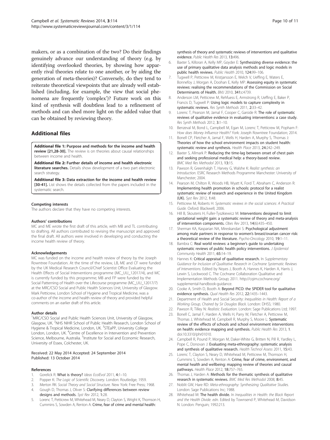<span id="page-10-0"></span>makers, or as a combination of the two? Do their findings genuinely advance our understanding of theory (e.g. by identifying overlooked theories, by showing how apparently rival theories relate to one another, or by aiding the generation of meta-theories)? Conversely, do they tend to reiterate theoretical viewpoints that are already well established (including, for example, the view that social phenomena are frequently 'complex')? Future work on this kind of synthesis will doubtless lead to a refinement of methods and can shed more light on the added value that can be obtained by reviewing theory.

# Additional files

[Additional file 1:](http://www.biomedcentral.com/content/supplementary/2046-4053-3-114-S1.doc) Purpose and methods for the income and health review [21,28-[30\]](#page-11-0). The review is on theories about causal relationships between income and health.

[Additional file 2:](http://www.biomedcentral.com/content/supplementary/2046-4053-3-114-S2.doc) Further details of income and health electronic literature searches. Details show development of a two part electronic search strategy.

[Additional file 3:](http://www.biomedcentral.com/content/supplementary/2046-4053-3-114-S3.doc) Data extraction for the income and health review [\[30-41](#page-11-0)]. List shows the details collected from the papers included in the systematic search.

#### Competing interests

The authors declare that they have no competing interests.

#### Authors' contributions

MC and ME wrote the first draft of this article, with MB and TL contributing to drafting. All authors contributed to revising the manuscript and approved the final draft. All authors were involved in developing and conducting the income health review of theory.

#### Acknowledgements

MC was funded on the income and health review of theory by the Joseph Rowntree Foundation. At the time of the review, LB, ME and CF were funded by the UK Medical Research Council/Chief Scientist Office Evaluating the Health Effects of Social Interventions programme (MC\_UU\_12017/4), and MC is currently funded by this programme; MB and FP were funded by the Social Patterning of Health over the Lifecourse programme (MC\_UU\_12017/7) at the MRC/CSO Social and Public Health Sciences Unit, University of Glasgow. Mark Petticrew, London School of Hygiene and Tropical Medicine, was a co-author of the income and health review of theory and provided helpful comments on an earlier draft of this article.

#### Author details

<sup>1</sup>MRC/CSO Social and Public Health Sciences Unit, University of Glasgow, Glasgow, UK. <sup>2</sup>NHS NIHR School of Public Health Research, London School of Hygiene & Tropical Medicine, London, UK. <sup>3</sup>STEaPP, University College London, London, UK. <sup>4</sup> Centre of Excellence in Intervention and Prevention Science, Melbourne, Australia. <sup>5</sup>Institute for Social and Economic Research, University of Essex, Colchester, UK.

#### Received: 22 May 2014 Accepted: 24 September 2014 Published: 13 October 2014

#### References

- Gorelick R: What is theory? Ideas EcolEvol 2011, 4:1-10.
- 2. Popper K: The Logic of Scientific Discovery. London: Routledge; 1959.
- 3. Merton RK: Social Theory and Social Structure. New York: Free Press; 1968.
- Gough D, Thomas J, Oliver S: Clarifying differences between review designs and methods. Syst Rev 2012, 1:28.
- 5. Lorenc T, Petticrew M, Whitehead M, Neary D, Clayton S, Wright K, Thomson H, Cummins S, Sowden A, Renton A: Crime, fear of crime and mental health:
- 6. Baxter S, Killoran A, Kelly MP, Goyder E: Synthesizing diverse evidence: the use of primary qualitative data analysis methods and logic models in public health reviews. Public Health 2010, 124:99–106.
- Tugwell P, Petticrew M, Kristjansson E, Welch V, Ueffing E, Waters E, Bonnefoy J, Morgan A, Doohan E, Kelly MP: Assessing equity in systematic reviews: realising the recommendations of the Commission on Social Determinants of Health. BMJ 2010, 341:c4739.
- 8. Anderson LM, Petticrew M, Rehfuess E, Armstrong R, Ueffing E, Baker P, Francis D, Tugwell P: Using logic models to capture complexity in systematic reviews. Res Synth Methods 2011, 2:33–42.
- 9. Lorenc T, Pearson M, Jamal F, Cooper C, Garside R: The role of systematic reviews of qualitative evidence in evaluating interventions: a case study. Res Synth Methods 2012, 3:1-10.
- 10. Benzeval M, Bond L, Campbell M, Egan M, Lorenc T, Petticrew M, Popham F: How does Money Influence Health? York: Joseph Rowntree Foundation; 2014.
- 11. Bonell CP, Fletcher A, Jamal F, Wells H, Harden A, Murphy S, Thomas J: Theories of how the school environment impacts on student health: systematic review and synthesis. Health Place 2013, 24:242–249.
- 12. Baxter S, Allmark P: Reducing the time-lag between onset of chest pain and seeking professional medical help: a theory-based review. BMC Med Res Methodol 2013, 13:15.
- 13. Pawson R, Greenhalgh T, Harvey G, Walshe K: Realist synthesis: an Introduction. ESRC Research Methods Programme Manchester: University of Manchester; 2004.
- 14. Pearson M, Chilton R, Woods HB, Wyatt K, Ford T, Abraham C, Anderson R: Implementing health promotion in schools: protocol for a realist systematic review of research and experience in the United Kingdom (UK). Syst Rev 2012, 1:48.
- 15. Petticrew M, Roberts H: Systematic reviews in the social sciences: A Practical Guide. Oxford: Blackwell; 2006.
- 16. Hill B, Skouteris H, Fuller-Tyszkiewicz M: Interventions designed to limit gestational weight gain: a systematic review of theory and meta-analysis of intervention components. Obes Rev 2013, 14(6):435–450.
- 17. Sherman KA, Kasparian NA, Mireskandari S: Psychological adjustment among male partners in response to women's breast/ovarian cancer risk: a theoretical review of the literature. Psycho-Oncology 2010, 19:1–11.
- 18. Bambra C: Real world reviews: a beginner's quide to undertaking systematic reviews of public health policy interventions. J Epidemiol Community Health 2011, 65:14–19.
- 19. Hannes K: Critical appraisal of qualitative research. In Supplementary Guidance for Inclusion of Qualitative Research in Cochrane Systematic Reviews of Interventions. Edited by Noyes J, Booth A, Hannes K, Harden A, Harris J, Lewin S, Lockwood C. The Cochrane Collaboration Qualitative and Implementation Methods Group; 2011. [http://cqim.cochrane.org/](http://cqim.cochrane.org/supplemental-handbook-guidance) [supplemental-handbook-guidance.](http://cqim.cochrane.org/supplemental-handbook-guidance)
- 20. Cooke A, Smith D, Booth A: Beyond PICO: the SPIDER tool for qualitative evidence synthesis. Qual Health Res 2012, 22:1435–1443.
- 21. Department of Health and Social Security: Inequalities in Health: Report of a Working Group, Chaired by Sir Douglas Black. London: DHSS; 1980.
- 22. Pawson R, Tilley N: Realistic Evaluation. London: Sage Publications Ltd; 1997. 23. Bonell C, Jamal F, Harden A, Wells H, Parry W, Fletcher A, Petticrew M, Thomas J, Whitehead M, Campbell R, Murphy S, Moore L: Systematic review of the effects of schools and school environment interventions on health: evidence mapping and synthesis. Public Health Res 2013, 1. doi:10.3310/phr01010.
- 24. Campbell R, Pound P, Morgan M, Daker-White G, Britten N, Pill R, Yardley L, Pope C, Donovan J: Evaluating meta-ethnography: systematic analysis and synthesis of qualitative research. Health Technol Assess 2011, 15:43.
- 25. Lorenc T, Clayton S, Neary D, Whitehead M, Petticrew M, Thomson H, Cummins S, Sowden A, Renton A: Crime, fear of crime, environment, and mental health and wellbeing: mapping review of theories and causal pathways. Health Place 2012, 18:757–765.
- 26. Thomas J, Harden A: Methods for the thematic synthesis of qualitative research in systematic reviews. BMC Med Res Methodol 2008, 8:45.
- 27. Noblit GW, Hare RD: Meta-ethnography: Synthesizing Qualitative Studies. London: Sage Publications Inc; 1988.
- 28. Whitehead M: The health divide. In Inequalities in Health: the Black Report and the Health Divide. edn. Edited by Townsend P, Whitehead M, Davidson N. London: Penguin; 1992:213.